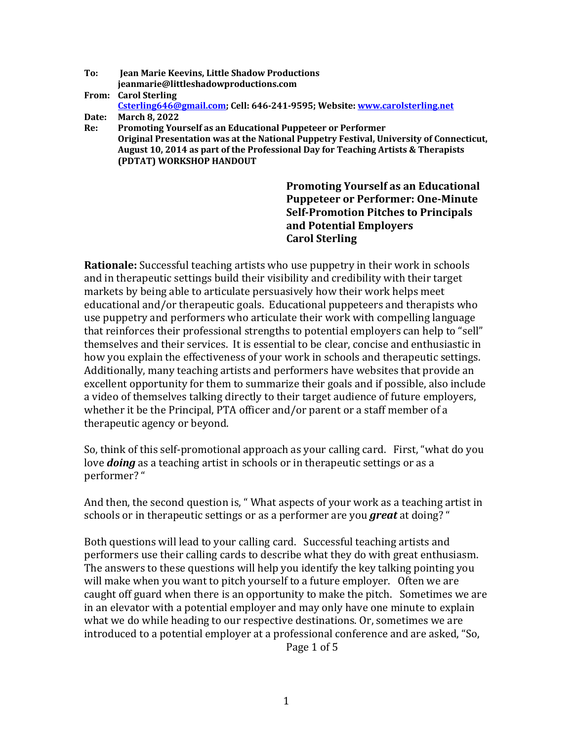- **To: Jean Marie Keevins, Little Shadow Productions jeanmarie@littleshadowproductions.com From: Carol Sterling**  Csterling646@gmail.com; Cell: 646-241-9595; Website: www.carolsterling.net
- **Date: March 8, 2022**
- **Re: Promoting Yourself as an Educational Puppeteer or Performer** Original Presentation was at the National Puppetry Festival, University of Connecticut, August 10, 2014 as part of the Professional Day for Teaching Artists & Therapists **(PDTAT) WORKSHOP HANDOUT**

**Promoting Yourself as an Educational Puppeteer or Performer: One-Minute Self-Promotion Pitches to Principals and Potential Employers Carol Sterling**

**Rationale:** Successful teaching artists who use puppetry in their work in schools and in therapeutic settings build their visibility and credibility with their target markets by being able to articulate persuasively how their work helps meet educational and/or therapeutic goals. Educational puppeteers and therapists who use puppetry and performers who articulate their work with compelling language that reinforces their professional strengths to potential employers can help to "sell" themselves and their services. It is essential to be clear, concise and enthusiastic in how you explain the effectiveness of your work in schools and therapeutic settings. Additionally, many teaching artists and performers have websites that provide an excellent opportunity for them to summarize their goals and if possible, also include a video of themselves talking directly to their target audience of future employers, whether it be the Principal, PTA officer and/or parent or a staff member of a therapeutic agency or beyond.

So, think of this self-promotional approach as your calling card. First, "what do you love **doing** as a teaching artist in schools or in therapeutic settings or as a performer? "

And then, the second question is, " What aspects of your work as a teaching artist in schools or in therapeutic settings or as a performer are you **great** at doing? "

Both questions will lead to your calling card. Successful teaching artists and performers use their calling cards to describe what they do with great enthusiasm. The answers to these questions will help you identify the key talking pointing you will make when you want to pitch yourself to a future employer. Often we are caught off guard when there is an opportunity to make the pitch. Sometimes we are in an elevator with a potential employer and may only have one minute to explain what we do while heading to our respective destinations. Or, sometimes we are introduced to a potential employer at a professional conference and are asked, "So,

Page 1 of 5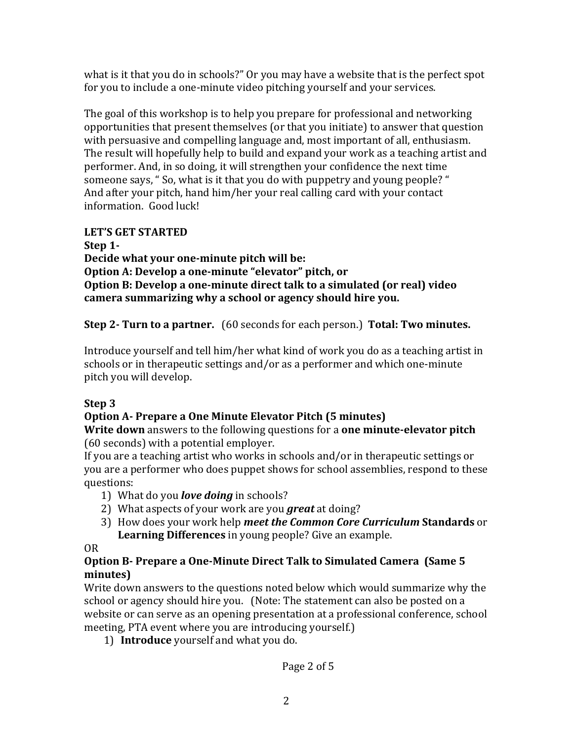what is it that you do in schools?" Or you may have a website that is the perfect spot for you to include a one-minute video pitching yourself and your services.

The goal of this workshop is to help you prepare for professional and networking opportunities that present themselves (or that you initiate) to answer that question with persuasive and compelling language and, most important of all, enthusiasm. The result will hopefully help to build and expand your work as a teaching artist and performer. And, in so doing, it will strengthen your confidence the next time someone says, " So, what is it that you do with puppetry and young people? " And after your pitch, hand him/her your real calling card with your contact information. Good luck!

## LET'S GET STARTED

**Step 1-** Decide what your one-minute pitch will be: **Option A: Develop a one-minute "elevator" pitch, or Option B: Develop a one-minute direct talk to a simulated (or real) video** camera summarizing why a school or agency should hire you.

**Step 2- Turn to a partner.** (60 seconds for each person.) **Total: Two minutes.** 

Introduce yourself and tell him/her what kind of work you do as a teaching artist in schools or in therapeutic settings and/or as a performer and which one-minute pitch you will develop.

# **Step 3**

# **Option A- Prepare a One Minute Elevator Pitch (5 minutes)**

**Write down** answers to the following questions for a **one minute-elevator pitch** (60 seconds) with a potential employer.

If you are a teaching artist who works in schools and/or in therapeutic settings or you are a performer who does puppet shows for school assemblies, respond to these questions: 

- 1) What do you *love doing* in schools?
- 2) What aspects of your work are you *great* at doing?
- 3) How does your work help meet the Common Core Curriculum Standards or Learning Differences in young people? Give an example.

OR

## **Option B-** Prepare a One-Minute Direct Talk to Simulated Camera (Same 5) **minutes)**

Write down answers to the questions noted below which would summarize why the school or agency should hire you. (Note: The statement can also be posted on a website or can serve as an opening presentation at a professional conference, school meeting, PTA event where you are introducing yourself.)

1) **Introduce** yourself and what you do.

Page 2 of 5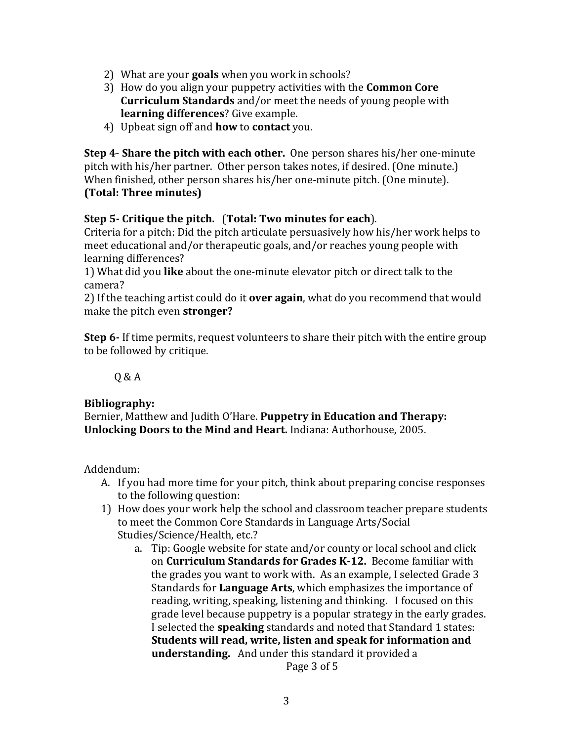- 2) What are your **goals** when you work in schools?
- 3) How do you align your puppetry activities with the **Common Core Curriculum Standards** and/or meet the needs of young people with **learning differences**? Give example.
- 4) Upbeat sign off and **how** to **contact** you.

**Step 4- Share the pitch with each other.** One person shares his/her one-minute pitch with his/her partner. Other person takes notes, if desired. (One minute.) When finished, other person shares his/her one-minute pitch. (One minute). **(Total: Three minutes)**

### **Step 5-** Critique the pitch. (Total: Two minutes for each).

Criteria for a pitch: Did the pitch articulate persuasively how his/her work helps to meet educational and/or therapeutic goals, and/or reaches young people with learning differences?

1) What did you **like** about the one-minute elevator pitch or direct talk to the camera? 

2) If the teaching artist could do it **over again**, what do you recommend that would make the pitch even **stronger?** 

**Step 6**- If time permits, request volunteers to share their pitch with the entire group to be followed by critique.

 $Q & A$ 

#### **Bibliography:**

Bernier, Matthew and Judith O'Hare. Puppetry in Education and Therapy: **Unlocking Doors to the Mind and Heart.** Indiana: Authorhouse, 2005.

Addendum:

- A. If you had more time for your pitch, think about preparing concise responses to the following question:
- 1) How does your work help the school and classroom teacher prepare students to meet the Common Core Standards in Language Arts/Social Studies/Science/Health, etc.?
	- a. Tip: Google website for state and/or county or local school and click on **Curriculum Standards for Grades K-12.** Become familiar with the grades you want to work with. As an example, I selected Grade 3 Standards for **Language Arts**, which emphasizes the importance of reading, writing, speaking, listening and thinking. I focused on this grade level because puppetry is a popular strategy in the early grades. I selected the **speaking** standards and noted that Standard 1 states: **Students will read, write, listen and speak for information and understanding.** And under this standard it provided a

Page 3 of 5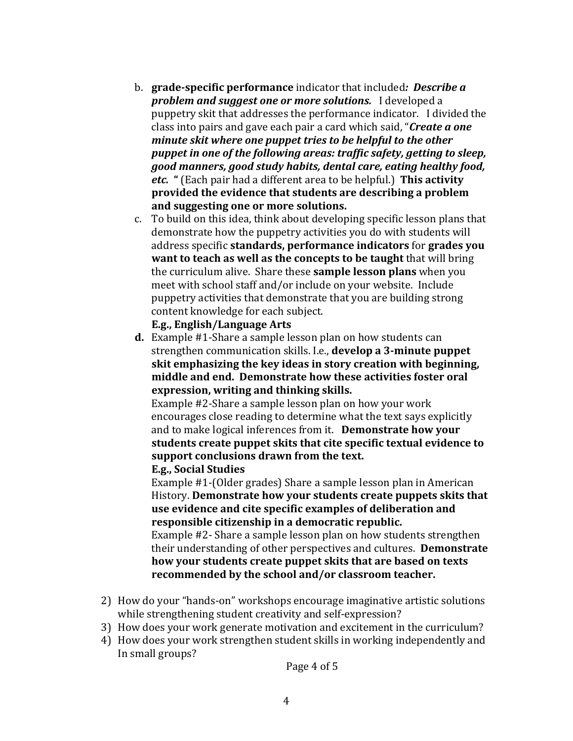- b. grade-specific performance indicator that included: *Describe a problem and suggest one or more solutions.* I developed a puppetry skit that addresses the performance indicator. I divided the class into pairs and gave each pair a card which said, "**Create a one** *minute skit where one puppet tries to be helpful to the other* puppet in one of the following areas: traffic safety, getting to sleep, good manners, good study habits, dental care, eating healthy food, *etc.* " (Each pair had a different area to be helpful.) This activity **provided the evidence that students are describing a problem and suggesting one or more solutions.**
- c. To build on this idea, think about developing specific lesson plans that demonstrate how the puppetry activities you do with students will address specific standards, performance indicators for grades you **want to teach as well as the concepts to be taught** that will bring the curriculum alive. Share these **sample lesson plans** when you meet with school staff and/or include on your website. Include puppetry activities that demonstrate that you are building strong content knowledge for each subject.

**E.g., English/Language Arts** 

**d.** Example #1-Share a sample lesson plan on how students can strengthen communication skills. I.e., **develop a 3-minute puppet skit emphasizing the key ideas in story creation with beginning,** middle and end. Demonstrate how these activities foster oral **expression, writing and thinking skills.** 

Example #2-Share a sample lesson plan on how your work encourages close reading to determine what the text says explicitly and to make logical inferences from it. Demonstrate how your students create puppet skits that cite specific textual evidence to support conclusions drawn from the text.

**E.g., Social Studies**

Example #1-(Older grades) Share a sample lesson plan in American History. **Demonstrate how your students create puppets skits that** use evidence and cite specific examples of deliberation and responsible citizenship in a democratic republic.

Example #2- Share a sample lesson plan on how students strengthen their understanding of other perspectives and cultures. **Demonstrate** how your students create puppet skits that are based on texts recommended by the school and/or classroom teacher.

- 2) How do your "hands-on" workshops encourage imaginative artistic solutions while strengthening student creativity and self-expression?
- 3) How does your work generate motivation and excitement in the curriculum?
- 4) How does your work strengthen student skills in working independently and In small groups?

Page 4 of 5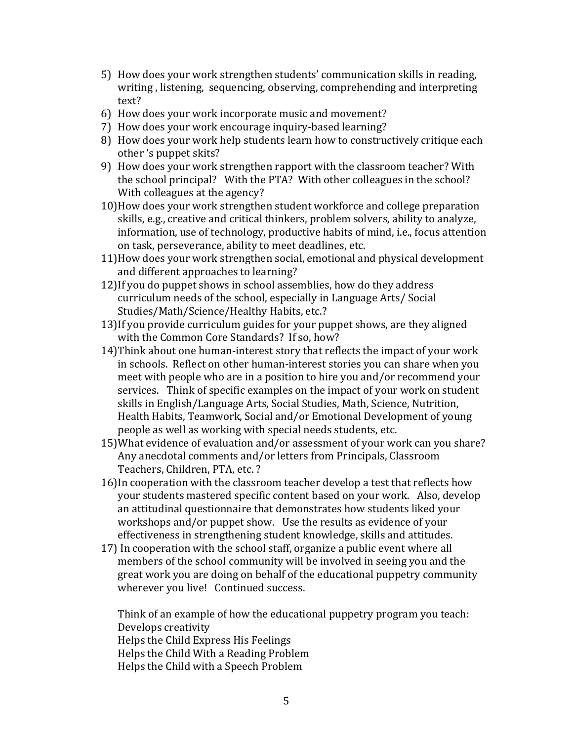- 5) How does your work strengthen students' communication skills in reading, writing, listening, sequencing, observing, comprehending and interpreting text?
- 6) How does your work incorporate music and movement?
- 7) How does your work encourage inquiry-based learning?
- 8) How does your work help students learn how to constructively critique each other 's puppet skits?
- 9) How does your work strengthen rapport with the classroom teacher? With the school principal? With the PTA? With other colleagues in the school? With colleagues at the agency?
- 10) How does your work strengthen student workforce and college preparation skills, e.g., creative and critical thinkers, problem solvers, ability to analyze, information, use of technology, productive habits of mind, i.e., focus attention on task, perseverance, ability to meet deadlines, etc.
- 11)How does your work strengthen social, emotional and physical development and different approaches to learning?
- 12) If you do puppet shows in school assemblies, how do they address curriculum needs of the school, especially in Language Arts/ Social Studies/Math/Science/Healthy Habits, etc.?
- 13) If you provide curriculum guides for your puppet shows, are they aligned with the Common Core Standards? If so, how?
- 14) Think about one human-interest story that reflects the impact of your work in schools. Reflect on other human-interest stories you can share when you meet with people who are in a position to hire you and/or recommend your services. Think of specific examples on the impact of your work on student skills in English/Language Arts, Social Studies, Math, Science, Nutrition, Health Habits, Teamwork, Social and/or Emotional Development of young people as well as working with special needs students, etc.
- 15) What evidence of evaluation and/or assessment of your work can you share? Any anecdotal comments and/or letters from Principals, Classroom Teachers, Children, PTA, etc. ?
- 16) In cooperation with the classroom teacher develop a test that reflects how your students mastered specific content based on your work. Also, develop an attitudinal questionnaire that demonstrates how students liked your workshops and/or puppet show. Use the results as evidence of your effectiveness in strengthening student knowledge, skills and attitudes.
- 17) In cooperation with the school staff, organize a public event where all members of the school community will be involved in seeing you and the great work you are doing on behalf of the educational puppetry community wherever you live! Continued success.

Think of an example of how the educational puppetry program you teach: Develops creativity

Helps the Child Express His Feelings

Helps the Child With a Reading Problem

Helps the Child with a Speech Problem